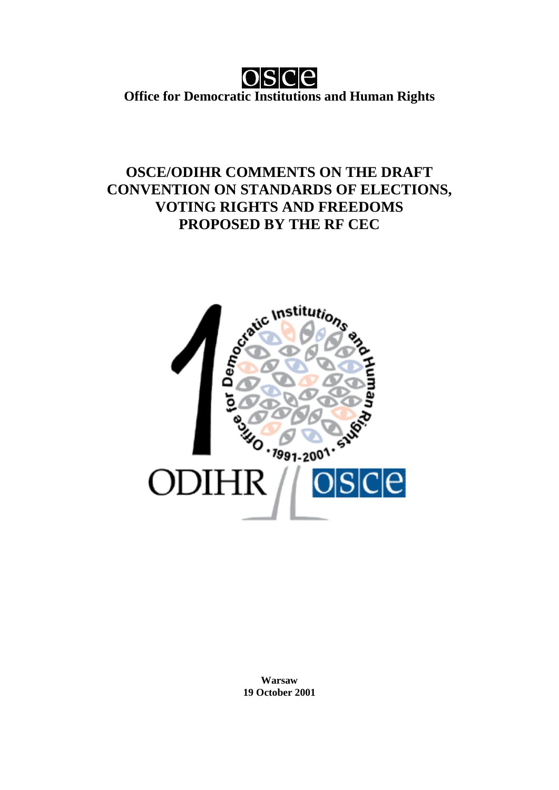

**Office for Democratic Institutions and Human Rights**

# **OSCE/ODIHR COMMENTS ON THE DRAFT CONVENTION ON STANDARDS OF ELECTIONS, VOTING RIGHTS AND FREEDOMS PROPOSED BY THE RF CEC**



**Warsaw 19 October 2001**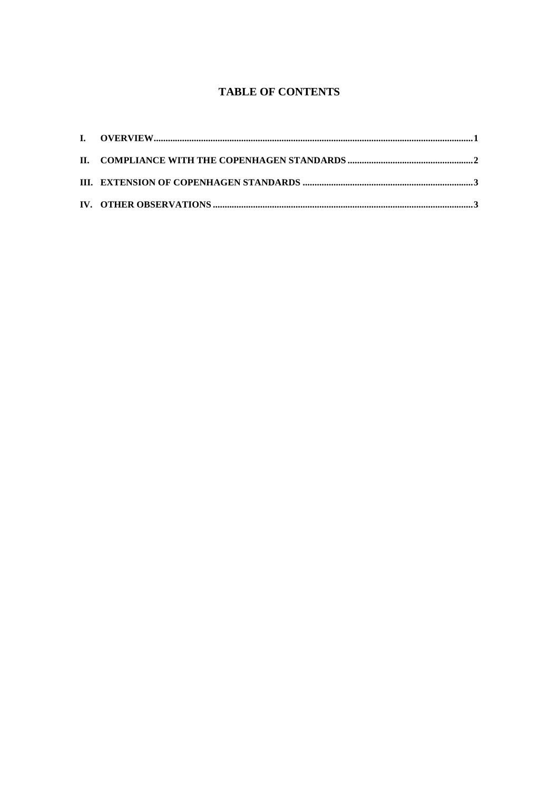### **TABLE OF CONTENTS**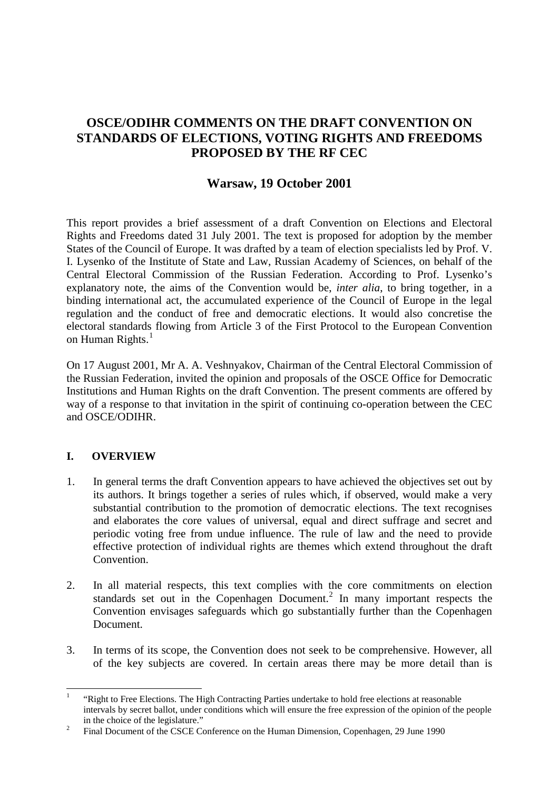# **OSCE/ODIHR COMMENTS ON THE DRAFT CONVENTION ON STANDARDS OF ELECTIONS, VOTING RIGHTS AND FREEDOMS PROPOSED BY THE RF CEC**

## **Warsaw, 19 October 2001**

This report provides a brief assessment of a draft Convention on Elections and Electoral Rights and Freedoms dated 31 July 2001. The text is proposed for adoption by the member States of the Council of Europe. It was drafted by a team of election specialists led by Prof. V. I. Lysenko of the Institute of State and Law, Russian Academy of Sciences, on behalf of the Central Electoral Commission of the Russian Federation. According to Prof. Lysenko's explanatory note, the aims of the Convention would be, *inter alia*, to bring together, in a binding international act, the accumulated experience of the Council of Europe in the legal regulation and the conduct of free and democratic elections. It would also concretise the electoral standards flowing from Article 3 of the First Protocol to the European Convention on Human Rights.<sup>[1](#page-2-0)</sup>

On 17 August 2001, Mr A. A. Veshnyakov, Chairman of the Central Electoral Commission of the Russian Federation, invited the opinion and proposals of the OSCE Office for Democratic Institutions and Human Rights on the draft Convention. The present comments are offered by way of a response to that invitation in the spirit of continuing co-operation between the CEC and OSCE/ODIHR.

#### **I. OVERVIEW**

- 1. In general terms the draft Convention appears to have achieved the objectives set out by its authors. It brings together a series of rules which, if observed, would make a very substantial contribution to the promotion of democratic elections. The text recognises and elaborates the core values of universal, equal and direct suffrage and secret and periodic voting free from undue influence. The rule of law and the need to provide effective protection of individual rights are themes which extend throughout the draft Convention.
- 2. In all material respects, this text complies with the core commitments on election standards set out in the Copenhagen Document.<sup>[2](#page-2-1)</sup> In many important respects the Convention envisages safeguards which go substantially further than the Copenhagen Document.
- 3. In terms of its scope, the Convention does not seek to be comprehensive. However, all of the key subjects are covered. In certain areas there may be more detail than is

<span id="page-2-0"></span><sup>1</sup> "Right to Free Elections. The High Contracting Parties undertake to hold free elections at reasonable intervals by secret ballot, under conditions which will ensure the free expression of the opinion of the people

<span id="page-2-1"></span>in the choice of the legislature." <sup>2</sup> Final Document of the CSCE Conference on the Human Dimension, Copenhagen, 29 June 1990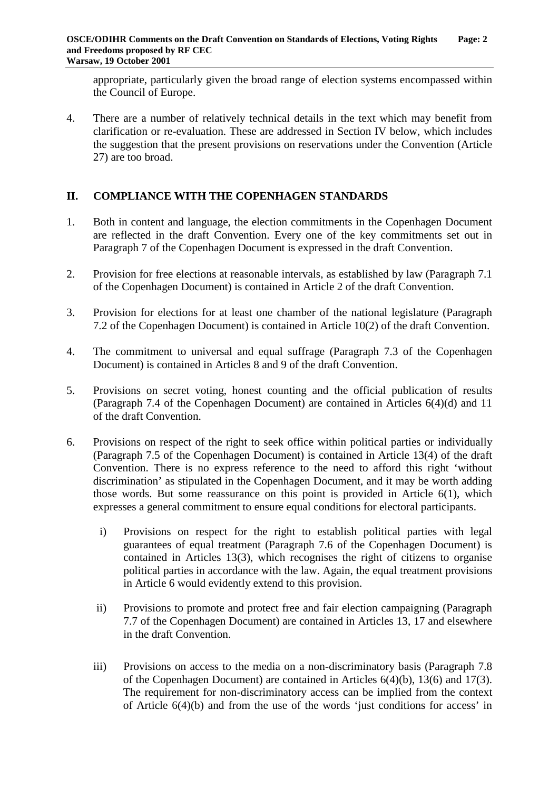appropriate, particularly given the broad range of election systems encompassed within the Council of Europe.

4. There are a number of relatively technical details in the text which may benefit from clarification or re-evaluation. These are addressed in Section IV below, which includes the suggestion that the present provisions on reservations under the Convention (Article 27) are too broad.

#### **II. COMPLIANCE WITH THE COPENHAGEN STANDARDS**

- 1. Both in content and language, the election commitments in the Copenhagen Document are reflected in the draft Convention. Every one of the key commitments set out in Paragraph 7 of the Copenhagen Document is expressed in the draft Convention.
- 2. Provision for free elections at reasonable intervals, as established by law (Paragraph 7.1 of the Copenhagen Document) is contained in Article 2 of the draft Convention.
- 3. Provision for elections for at least one chamber of the national legislature (Paragraph 7.2 of the Copenhagen Document) is contained in Article 10(2) of the draft Convention.
- 4. The commitment to universal and equal suffrage (Paragraph 7.3 of the Copenhagen Document) is contained in Articles 8 and 9 of the draft Convention.
- 5. Provisions on secret voting, honest counting and the official publication of results (Paragraph 7.4 of the Copenhagen Document) are contained in Articles 6(4)(d) and 11 of the draft Convention.
- 6. Provisions on respect of the right to seek office within political parties or individually (Paragraph 7.5 of the Copenhagen Document) is contained in Article 13(4) of the draft Convention. There is no express reference to the need to afford this right 'without discrimination' as stipulated in the Copenhagen Document, and it may be worth adding those words. But some reassurance on this point is provided in Article 6(1), which expresses a general commitment to ensure equal conditions for electoral participants.
	- i) Provisions on respect for the right to establish political parties with legal guarantees of equal treatment (Paragraph 7.6 of the Copenhagen Document) is contained in Articles 13(3), which recognises the right of citizens to organise political parties in accordance with the law. Again, the equal treatment provisions in Article 6 would evidently extend to this provision.
	- ii) Provisions to promote and protect free and fair election campaigning (Paragraph 7.7 of the Copenhagen Document) are contained in Articles 13, 17 and elsewhere in the draft Convention.
	- iii) Provisions on access to the media on a non-discriminatory basis (Paragraph 7.8 of the Copenhagen Document) are contained in Articles 6(4)(b), 13(6) and 17(3). The requirement for non-discriminatory access can be implied from the context of Article 6(4)(b) and from the use of the words 'just conditions for access' in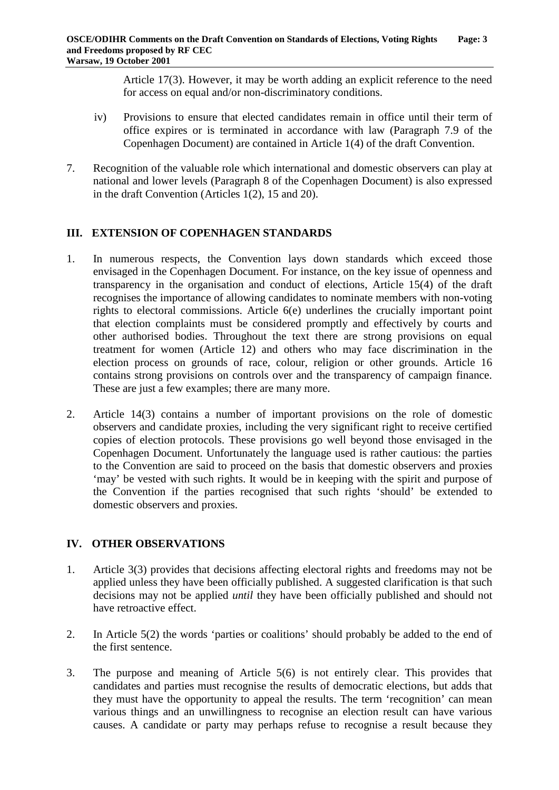Article 17(3). However, it may be worth adding an explicit reference to the need for access on equal and/or non-discriminatory conditions.

- iv) Provisions to ensure that elected candidates remain in office until their term of office expires or is terminated in accordance with law (Paragraph 7.9 of the Copenhagen Document) are contained in Article 1(4) of the draft Convention.
- 7. Recognition of the valuable role which international and domestic observers can play at national and lower levels (Paragraph 8 of the Copenhagen Document) is also expressed in the draft Convention (Articles 1(2), 15 and 20).

#### **III. EXTENSION OF COPENHAGEN STANDARDS**

- 1. In numerous respects, the Convention lays down standards which exceed those envisaged in the Copenhagen Document. For instance, on the key issue of openness and transparency in the organisation and conduct of elections, Article 15(4) of the draft recognises the importance of allowing candidates to nominate members with non-voting rights to electoral commissions. Article 6(e) underlines the crucially important point that election complaints must be considered promptly and effectively by courts and other authorised bodies. Throughout the text there are strong provisions on equal treatment for women (Article 12) and others who may face discrimination in the election process on grounds of race, colour, religion or other grounds. Article 16 contains strong provisions on controls over and the transparency of campaign finance. These are just a few examples; there are many more.
- 2. Article 14(3) contains a number of important provisions on the role of domestic observers and candidate proxies, including the very significant right to receive certified copies of election protocols. These provisions go well beyond those envisaged in the Copenhagen Document. Unfortunately the language used is rather cautious: the parties to the Convention are said to proceed on the basis that domestic observers and proxies 'may' be vested with such rights. It would be in keeping with the spirit and purpose of the Convention if the parties recognised that such rights 'should' be extended to domestic observers and proxies.

#### **IV. OTHER OBSERVATIONS**

- 1. Article 3(3) provides that decisions affecting electoral rights and freedoms may not be applied unless they have been officially published. A suggested clarification is that such decisions may not be applied *until* they have been officially published and should not have retroactive effect.
- 2. In Article 5(2) the words 'parties or coalitions' should probably be added to the end of the first sentence.
- 3. The purpose and meaning of Article 5(6) is not entirely clear. This provides that candidates and parties must recognise the results of democratic elections, but adds that they must have the opportunity to appeal the results. The term 'recognition' can mean various things and an unwillingness to recognise an election result can have various causes. A candidate or party may perhaps refuse to recognise a result because they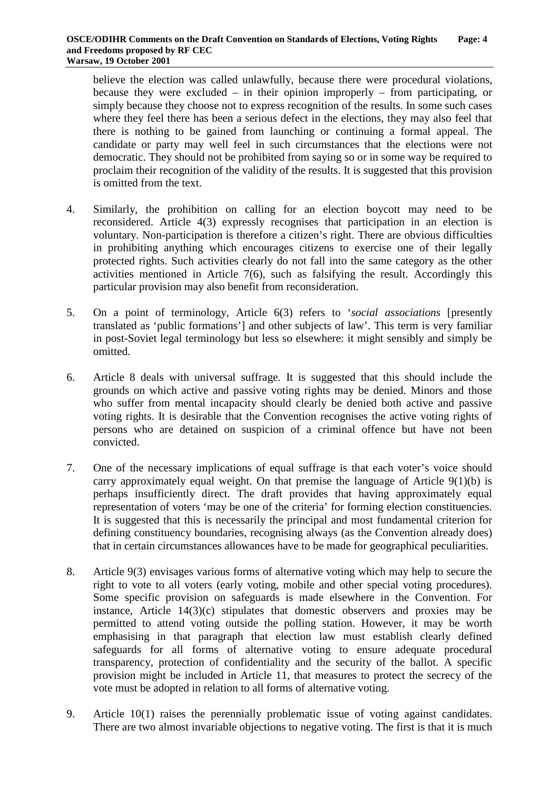believe the election was called unlawfully, because there were procedural violations, because they were excluded – in their opinion improperly – from participating, or simply because they choose not to express recognition of the results. In some such cases where they feel there has been a serious defect in the elections, they may also feel that there is nothing to be gained from launching or continuing a formal appeal. The candidate or party may well feel in such circumstances that the elections were not democratic. They should not be prohibited from saying so or in some way be required to proclaim their recognition of the validity of the results. It is suggested that this provision is omitted from the text.

- 4. Similarly, the prohibition on calling for an election boycott may need to be reconsidered. Article 4(3) expressly recognises that participation in an election is voluntary. Non-participation is therefore a citizen's right. There are obvious difficulties in prohibiting anything which encourages citizens to exercise one of their legally protected rights. Such activities clearly do not fall into the same category as the other activities mentioned in Article 7(6), such as falsifying the result. Accordingly this particular provision may also benefit from reconsideration.
- 5. On a point of terminology, Article 6(3) refers to '*social associations* [presently translated as 'public formations'] and other subjects of law'. This term is very familiar in post-Soviet legal terminology but less so elsewhere: it might sensibly and simply be omitted.
- 6. Article 8 deals with universal suffrage. It is suggested that this should include the grounds on which active and passive voting rights may be denied. Minors and those who suffer from mental incapacity should clearly be denied both active and passive voting rights. It is desirable that the Convention recognises the active voting rights of persons who are detained on suspicion of a criminal offence but have not been convicted.
- 7. One of the necessary implications of equal suffrage is that each voter's voice should carry approximately equal weight. On that premise the language of Article 9(1)(b) is perhaps insufficiently direct. The draft provides that having approximately equal representation of voters 'may be one of the criteria' for forming election constituencies. It is suggested that this is necessarily the principal and most fundamental criterion for defining constituency boundaries, recognising always (as the Convention already does) that in certain circumstances allowances have to be made for geographical peculiarities.
- 8. Article 9(3) envisages various forms of alternative voting which may help to secure the right to vote to all voters (early voting, mobile and other special voting procedures). Some specific provision on safeguards is made elsewhere in the Convention. For instance, Article  $14(3)(c)$  stipulates that domestic observers and proxies may be permitted to attend voting outside the polling station. However, it may be worth emphasising in that paragraph that election law must establish clearly defined safeguards for all forms of alternative voting to ensure adequate procedural transparency, protection of confidentiality and the security of the ballot. A specific provision might be included in Article 11, that measures to protect the secrecy of the vote must be adopted in relation to all forms of alternative voting.
- 9. Article 10(1) raises the perennially problematic issue of voting against candidates. There are two almost invariable objections to negative voting. The first is that it is much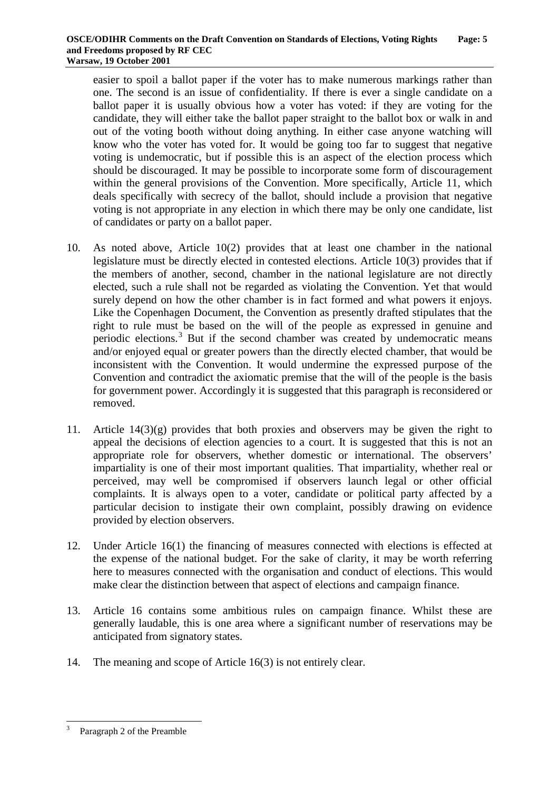easier to spoil a ballot paper if the voter has to make numerous markings rather than one. The second is an issue of confidentiality. If there is ever a single candidate on a ballot paper it is usually obvious how a voter has voted: if they are voting for the candidate, they will either take the ballot paper straight to the ballot box or walk in and out of the voting booth without doing anything. In either case anyone watching will know who the voter has voted for. It would be going too far to suggest that negative voting is undemocratic, but if possible this is an aspect of the election process which should be discouraged. It may be possible to incorporate some form of discouragement within the general provisions of the Convention. More specifically, Article 11, which deals specifically with secrecy of the ballot, should include a provision that negative voting is not appropriate in any election in which there may be only one candidate, list of candidates or party on a ballot paper.

- 10. As noted above, Article 10(2) provides that at least one chamber in the national legislature must be directly elected in contested elections. Article 10(3) provides that if the members of another, second, chamber in the national legislature are not directly elected, such a rule shall not be regarded as violating the Convention. Yet that would surely depend on how the other chamber is in fact formed and what powers it enjoys. Like the Copenhagen Document, the Convention as presently drafted stipulates that the right to rule must be based on the will of the people as expressed in genuine and periodic elections.[3](#page-6-0) But if the second chamber was created by undemocratic means and/or enjoyed equal or greater powers than the directly elected chamber, that would be inconsistent with the Convention. It would undermine the expressed purpose of the Convention and contradict the axiomatic premise that the will of the people is the basis for government power. Accordingly it is suggested that this paragraph is reconsidered or removed.
- 11. Article 14(3)(g) provides that both proxies and observers may be given the right to appeal the decisions of election agencies to a court. It is suggested that this is not an appropriate role for observers, whether domestic or international. The observers' impartiality is one of their most important qualities. That impartiality, whether real or perceived, may well be compromised if observers launch legal or other official complaints. It is always open to a voter, candidate or political party affected by a particular decision to instigate their own complaint, possibly drawing on evidence provided by election observers.
- 12. Under Article 16(1) the financing of measures connected with elections is effected at the expense of the national budget. For the sake of clarity, it may be worth referring here to measures connected with the organisation and conduct of elections. This would make clear the distinction between that aspect of elections and campaign finance.
- 13. Article 16 contains some ambitious rules on campaign finance. Whilst these are generally laudable, this is one area where a significant number of reservations may be anticipated from signatory states.
- 14. The meaning and scope of Article 16(3) is not entirely clear.

<span id="page-6-0"></span>Paragraph 2 of the Preamble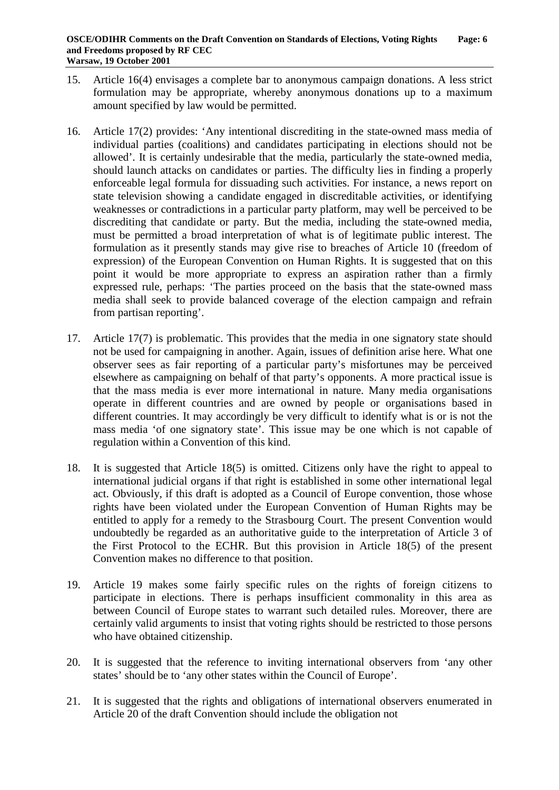- 15. Article 16(4) envisages a complete bar to anonymous campaign donations. A less strict formulation may be appropriate, whereby anonymous donations up to a maximum amount specified by law would be permitted.
- 16. Article 17(2) provides: 'Any intentional discrediting in the state-owned mass media of individual parties (coalitions) and candidates participating in elections should not be allowed'. It is certainly undesirable that the media, particularly the state-owned media, should launch attacks on candidates or parties. The difficulty lies in finding a properly enforceable legal formula for dissuading such activities. For instance, a news report on state television showing a candidate engaged in discreditable activities, or identifying weaknesses or contradictions in a particular party platform, may well be perceived to be discrediting that candidate or party. But the media, including the state-owned media, must be permitted a broad interpretation of what is of legitimate public interest. The formulation as it presently stands may give rise to breaches of Article 10 (freedom of expression) of the European Convention on Human Rights. It is suggested that on this point it would be more appropriate to express an aspiration rather than a firmly expressed rule, perhaps: 'The parties proceed on the basis that the state-owned mass media shall seek to provide balanced coverage of the election campaign and refrain from partisan reporting'.
- 17. Article 17(7) is problematic. This provides that the media in one signatory state should not be used for campaigning in another. Again, issues of definition arise here. What one observer sees as fair reporting of a particular party's misfortunes may be perceived elsewhere as campaigning on behalf of that party's opponents. A more practical issue is that the mass media is ever more international in nature. Many media organisations operate in different countries and are owned by people or organisations based in different countries. It may accordingly be very difficult to identify what is or is not the mass media 'of one signatory state'. This issue may be one which is not capable of regulation within a Convention of this kind.
- 18. It is suggested that Article 18(5) is omitted. Citizens only have the right to appeal to international judicial organs if that right is established in some other international legal act. Obviously, if this draft is adopted as a Council of Europe convention, those whose rights have been violated under the European Convention of Human Rights may be entitled to apply for a remedy to the Strasbourg Court. The present Convention would undoubtedly be regarded as an authoritative guide to the interpretation of Article 3 of the First Protocol to the ECHR. But this provision in Article 18(5) of the present Convention makes no difference to that position.
- 19. Article 19 makes some fairly specific rules on the rights of foreign citizens to participate in elections. There is perhaps insufficient commonality in this area as between Council of Europe states to warrant such detailed rules. Moreover, there are certainly valid arguments to insist that voting rights should be restricted to those persons who have obtained citizenship.
- 20. It is suggested that the reference to inviting international observers from 'any other states' should be to 'any other states within the Council of Europe'.
- 21. It is suggested that the rights and obligations of international observers enumerated in Article 20 of the draft Convention should include the obligation not